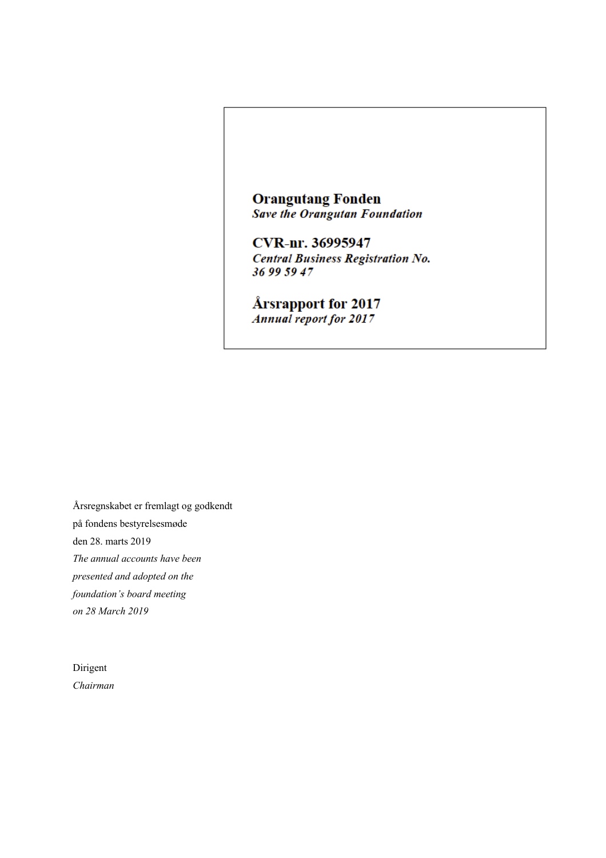**Orangutang Fonden Save the Orangutan Foundation** 

**CVR-nr. 36995947 Central Business Registration No.** 36 99 59 47

Årsrapport for 2017 **Annual report for 2017** 

Årsregnskabet er fremlagt og godkendt på fondens bestyrelsesmøde den 28. marts 2019 *The annual accounts have been presented and adopted on the foundation's board meeting on 28 March 2019* 

Dirigent *Chairman*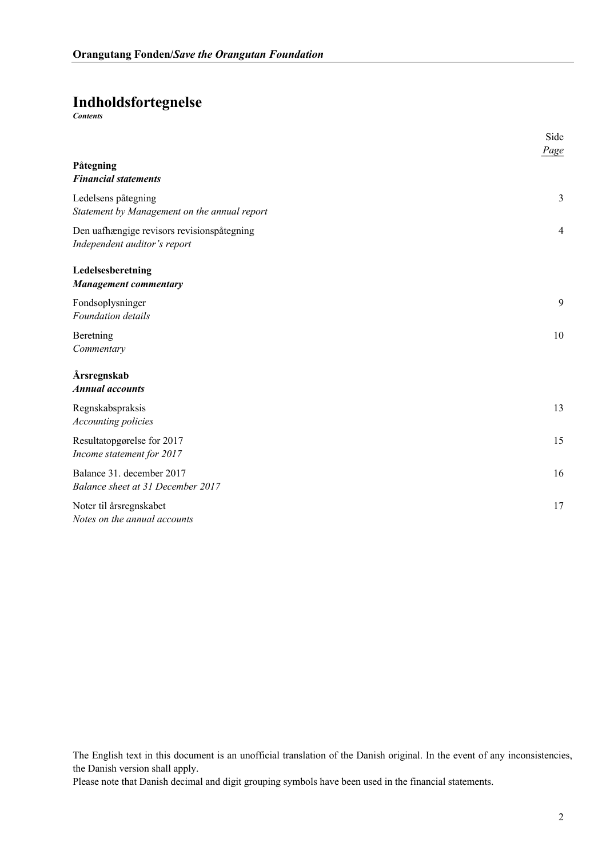## **Indholdsfortegnelse**

*Contents*

|                                                                            | Side<br>Page   |
|----------------------------------------------------------------------------|----------------|
| Påtegning<br><b>Financial statements</b>                                   |                |
| Ledelsens påtegning<br>Statement by Management on the annual report        | 3              |
| Den uafhængige revisors revisionspåtegning<br>Independent auditor's report | $\overline{4}$ |
| Ledelsesberetning<br><b>Management commentary</b>                          |                |
| Fondsoplysninger<br>Foundation details                                     | 9              |
| Beretning<br>Commentary                                                    | 10             |
| Årsregnskab<br><b>Annual accounts</b>                                      |                |
| Regnskabspraksis<br><b>Accounting policies</b>                             | 13             |
| Resultatopgørelse for 2017<br>Income statement for 2017                    | 15             |
| Balance 31. december 2017<br>Balance sheet at 31 December 2017             | 16             |
| Noter til årsregnskabet<br>Notes on the annual accounts                    | 17             |

The English text in this document is an unofficial translation of the Danish original. In the event of any inconsistencies, the Danish version shall apply.

Please note that Danish decimal and digit grouping symbols have been used in the financial statements.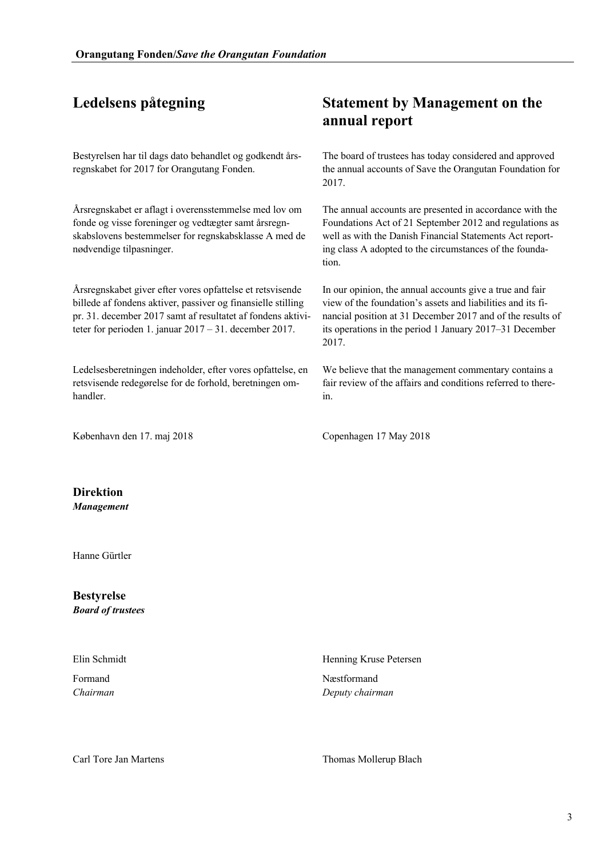Bestyrelsen har til dags dato behandlet og godkendt årsregnskabet for 2017 for Orangutang Fonden.

Årsregnskabet er aflagt i overensstemmelse med lov om fonde og visse foreninger og vedtægter samt årsregnskabslovens bestemmelser for regnskabsklasse A med de nødvendige tilpasninger.

Årsregnskabet giver efter vores opfattelse et retsvisende billede af fondens aktiver, passiver og finansielle stilling pr. 31. december 2017 samt af resultatet af fondens aktiviteter for perioden 1. januar 2017 – 31. december 2017.

Ledelsesberetningen indeholder, efter vores opfattelse, en retsvisende redegørelse for de forhold, beretningen omhandler.

København den 17. maj 2018 **Copenhagen 17 May 2018** 

## **Ledelsens påtegning Statement by Management on the annual report**

The board of trustees has today considered and approved the annual accounts of Save the Orangutan Foundation for 2017.

The annual accounts are presented in accordance with the Foundations Act of 21 September 2012 and regulations as well as with the Danish Financial Statements Act reporting class A adopted to the circumstances of the foundation.

In our opinion, the annual accounts give a true and fair view of the foundation's assets and liabilities and its financial position at 31 December 2017 and of the results of its operations in the period 1 January 2017–31 December 2017.

We believe that the management commentary contains a fair review of the affairs and conditions referred to therein.

**Direktion**  *Management*

Hanne Gürtler

**Bestyrelse**  *Board of trustees*

Elin Schmidt

Formand *Chairman* Henning Kruse Petersen

Næstformand *Deputy chairman*

Carl Tore Jan Martens Thomas Mollerup Blach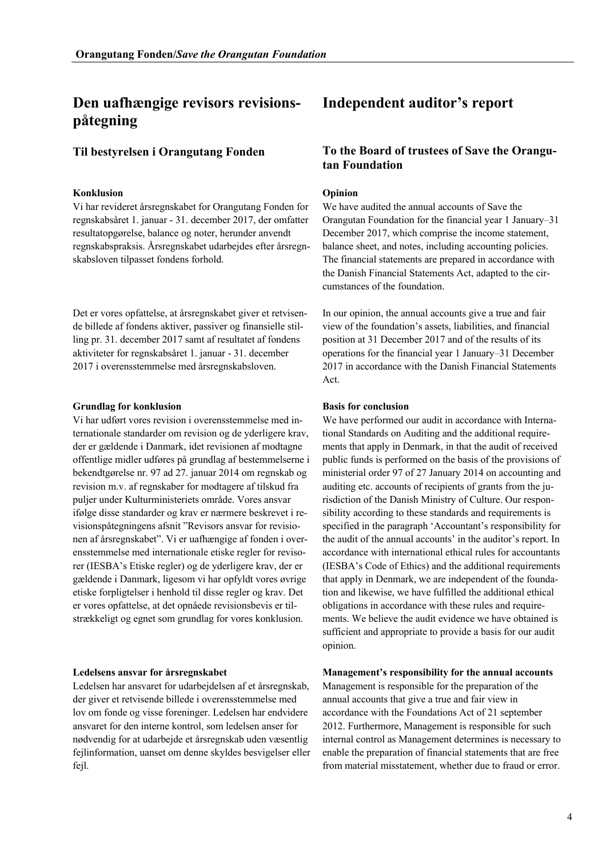### **Konklusion Opinion**

Vi har revideret årsregnskabet for Orangutang Fonden for regnskabsåret 1. januar - 31. december 2017, der omfatter resultatopgørelse, balance og noter, herunder anvendt regnskabspraksis. Årsregnskabet udarbejdes efter årsregnskabsloven tilpasset fondens forhold.

Det er vores opfattelse, at årsregnskabet giver et retvisende billede af fondens aktiver, passiver og finansielle stilling pr. 31. december 2017 samt af resultatet af fondens aktiviteter for regnskabsåret 1. januar - 31. december 2017 i overensstemmelse med årsregnskabsloven.

### **Grundlag for konklusion Basis for conclusion**

Vi har udført vores revision i overensstemmelse med internationale standarder om revision og de yderligere krav, der er gældende i Danmark, idet revisionen af modtagne offentlige midler udføres på grundlag af bestemmelserne i bekendtgørelse nr. 97 ad 27. januar 2014 om regnskab og revision m.v. af regnskaber for modtagere af tilskud fra puljer under Kulturministeriets område. Vores ansvar ifølge disse standarder og krav er nærmere beskrevet i revisionspåtegningens afsnit "Revisors ansvar for revisionen af årsregnskabet". Vi er uafhængige af fonden i overensstemmelse med internationale etiske regler for revisorer (IESBA's Etiske regler) og de yderligere krav, der er gældende i Danmark, ligesom vi har opfyldt vores øvrige etiske forpligtelser i henhold til disse regler og krav. Det er vores opfattelse, at det opnåede revisionsbevis er tilstrækkeligt og egnet som grundlag for vores konklusion.

Ledelsen har ansvaret for udarbejdelsen af et årsregnskab, der giver et retvisende billede i overensstemmelse med lov om fonde og visse foreninger. Ledelsen har endvidere ansvaret for den interne kontrol, som ledelsen anser for nødvendig for at udarbejde et årsregnskab uden væsentlig fejlinformation, uanset om denne skyldes besvigelser eller fejl.

## **Independent auditor's report**

### **Til bestyrelsen i Orangutang Fonden To the Board of trustees of Save the Orangutan Foundation**

We have audited the annual accounts of Save the Orangutan Foundation for the financial year 1 January–31 December 2017, which comprise the income statement, balance sheet, and notes, including accounting policies. The financial statements are prepared in accordance with the Danish Financial Statements Act, adapted to the circumstances of the foundation.

In our opinion, the annual accounts give a true and fair view of the foundation's assets, liabilities, and financial position at 31 December 2017 and of the results of its operations for the financial year 1 January–31 December 2017 in accordance with the Danish Financial Statements Act.

We have performed our audit in accordance with International Standards on Auditing and the additional requirements that apply in Denmark, in that the audit of received public funds is performed on the basis of the provisions of ministerial order 97 of 27 January 2014 on accounting and auditing etc. accounts of recipients of grants from the jurisdiction of the Danish Ministry of Culture. Our responsibility according to these standards and requirements is specified in the paragraph 'Accountant's responsibility for the audit of the annual accounts' in the auditor's report. In accordance with international ethical rules for accountants (IESBA's Code of Ethics) and the additional requirements that apply in Denmark, we are independent of the foundation and likewise, we have fulfilled the additional ethical obligations in accordance with these rules and requirements. We believe the audit evidence we have obtained is sufficient and appropriate to provide a basis for our audit opinion.

### **Ledelsens ansvar for årsregnskabet Management's responsibility for the annual accounts**

Management is responsible for the preparation of the annual accounts that give a true and fair view in accordance with the Foundations Act of 21 september 2012. Furthermore, Management is responsible for such internal control as Management determines is necessary to enable the preparation of financial statements that are free from material misstatement, whether due to fraud or error.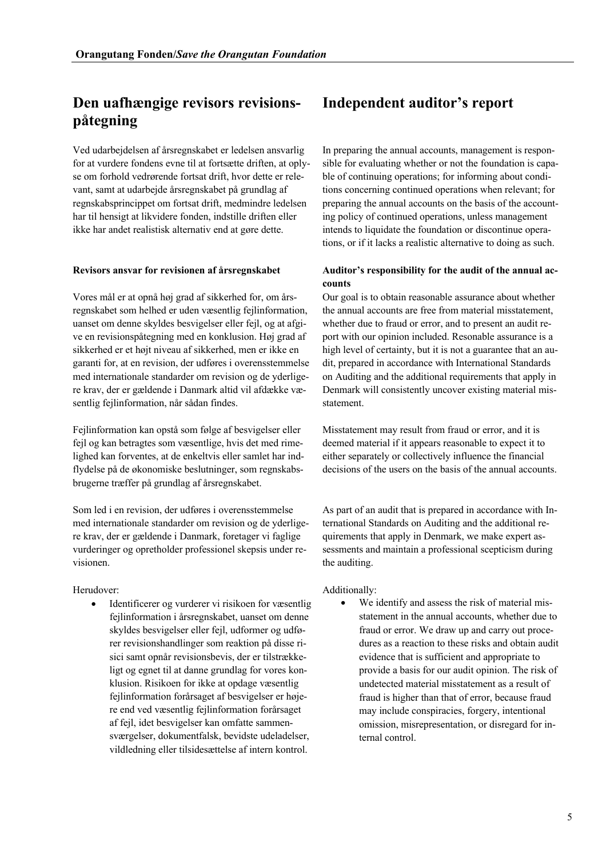Ved udarbejdelsen af årsregnskabet er ledelsen ansvarlig for at vurdere fondens evne til at fortsætte driften, at oplyse om forhold vedrørende fortsat drift, hvor dette er relevant, samt at udarbejde årsregnskabet på grundlag af regnskabsprincippet om fortsat drift, medmindre ledelsen har til hensigt at likvidere fonden, indstille driften eller ikke har andet realistisk alternativ end at gøre dette.

Vores mål er at opnå høj grad af sikkerhed for, om årsregnskabet som helhed er uden væsentlig fejlinformation, uanset om denne skyldes besvigelser eller fejl, og at afgive en revisionspåtegning med en konklusion. Høj grad af sikkerhed er et højt niveau af sikkerhed, men er ikke en garanti for, at en revision, der udføres i overensstemmelse med internationale standarder om revision og de yderligere krav, der er gældende i Danmark altid vil afdække væsentlig fejlinformation, når sådan findes.

Fejlinformation kan opstå som følge af besvigelser eller fejl og kan betragtes som væsentlige, hvis det med rimelighed kan forventes, at de enkeltvis eller samlet har indflydelse på de økonomiske beslutninger, som regnskabsbrugerne træffer på grundlag af årsregnskabet.

Som led i en revision, der udføres i overensstemmelse med internationale standarder om revision og de yderligere krav, der er gældende i Danmark, foretager vi faglige vurderinger og opretholder professionel skepsis under revisionen.

Identificerer og vurderer vi risikoen for væsentlig fejlinformation i årsregnskabet, uanset om denne skyldes besvigelser eller fejl, udformer og udfører revisionshandlinger som reaktion på disse risici samt opnår revisionsbevis, der er tilstrækkeligt og egnet til at danne grundlag for vores konklusion. Risikoen for ikke at opdage væsentlig fejlinformation forårsaget af besvigelser er højere end ved væsentlig fejlinformation forårsaget af fejl, idet besvigelser kan omfatte sammensværgelser, dokumentfalsk, bevidste udeladelser, vildledning eller tilsidesættelse af intern kontrol.

## **Independent auditor's report**

In preparing the annual accounts, management is responsible for evaluating whether or not the foundation is capable of continuing operations; for informing about conditions concerning continued operations when relevant; for preparing the annual accounts on the basis of the accounting policy of continued operations, unless management intends to liquidate the foundation or discontinue operations, or if it lacks a realistic alternative to doing as such.

### **Revisors ansvar for revisionen af årsregnskabet Auditor's responsibility for the audit of the annual accounts**

Our goal is to obtain reasonable assurance about whether the annual accounts are free from material misstatement, whether due to fraud or error, and to present an audit report with our opinion included. Resonable assurance is a high level of certainty, but it is not a guarantee that an audit, prepared in accordance with International Standards on Auditing and the additional requirements that apply in Denmark will consistently uncover existing material misstatement.

Misstatement may result from fraud or error, and it is deemed material if it appears reasonable to expect it to either separately or collectively influence the financial decisions of the users on the basis of the annual accounts.

As part of an audit that is prepared in accordance with International Standards on Auditing and the additional requirements that apply in Denmark, we make expert assessments and maintain a professional scepticism during the auditing.

### Herudover: Additionally:

We identify and assess the risk of material misstatement in the annual accounts, whether due to fraud or error. We draw up and carry out procedures as a reaction to these risks and obtain audit evidence that is sufficient and appropriate to provide a basis for our audit opinion. The risk of undetected material misstatement as a result of fraud is higher than that of error, because fraud may include conspiracies, forgery, intentional omission, misrepresentation, or disregard for internal control.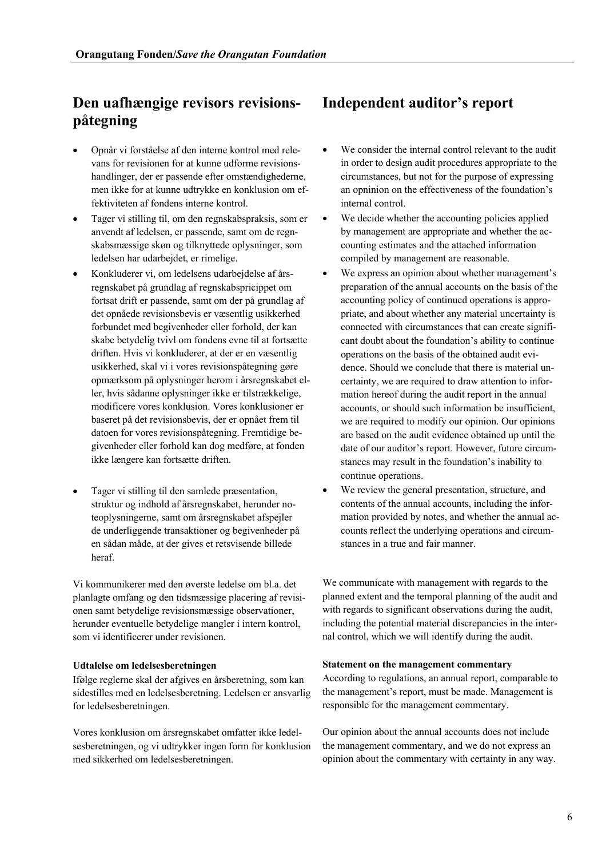- Opnår vi forståelse af den interne kontrol med relevans for revisionen for at kunne udforme revisionshandlinger, der er passende efter omstændighederne, men ikke for at kunne udtrykke en konklusion om effektiviteten af fondens interne kontrol.
- Tager vi stilling til, om den regnskabspraksis, som er anvendt af ledelsen, er passende, samt om de regnskabsmæssige skøn og tilknyttede oplysninger, som ledelsen har udarbejdet, er rimelige.
- Konkluderer vi, om ledelsens udarbejdelse af årsregnskabet på grundlag af regnskabspricippet om fortsat drift er passende, samt om der på grundlag af det opnåede revisionsbevis er væsentlig usikkerhed forbundet med begivenheder eller forhold, der kan skabe betydelig tvivl om fondens evne til at fortsætte driften. Hvis vi konkluderer, at der er en væsentlig usikkerhed, skal vi i vores revisionspåtegning gøre opmærksom på oplysninger herom i årsregnskabet eller, hvis sådanne oplysninger ikke er tilstrækkelige, modificere vores konklusion. Vores konklusioner er baseret på det revisionsbevis, der er opnået frem til datoen for vores revisionspåtegning. Fremtidige begivenheder eller forhold kan dog medføre, at fonden ikke længere kan fortsætte driften.
- Tager vi stilling til den samlede præsentation, struktur og indhold af årsregnskabet, herunder noteoplysningerne, samt om årsregnskabet afspejler de underliggende transaktioner og begivenheder på en sådan måde, at der gives et retsvisende billede heraf.

Vi kommunikerer med den øverste ledelse om bl.a. det planlagte omfang og den tidsmæssige placering af revisionen samt betydelige revisionsmæssige observationer, herunder eventuelle betydelige mangler i intern kontrol, som vi identificerer under revisionen.

Ifølge reglerne skal der afgives en årsberetning, som kan sidestilles med en ledelsesberetning. Ledelsen er ansvarlig for ledelsesberetningen.

Vores konklusion om årsregnskabet omfatter ikke ledelsesberetningen, og vi udtrykker ingen form for konklusion med sikkerhed om ledelsesberetningen.

## **Independent auditor's report**

- We consider the internal control relevant to the audit in order to design audit procedures appropriate to the circumstances, but not for the purpose of expressing an opninion on the effectiveness of the foundation's internal control.
- We decide whether the accounting policies applied by management are appropriate and whether the accounting estimates and the attached information compiled by management are reasonable.
- We express an opinion about whether management's preparation of the annual accounts on the basis of the accounting policy of continued operations is appropriate, and about whether any material uncertainty is connected with circumstances that can create significant doubt about the foundation's ability to continue operations on the basis of the obtained audit evidence. Should we conclude that there is material uncertainty, we are required to draw attention to information hereof during the audit report in the annual accounts, or should such information be insufficient, we are required to modify our opinion. Our opinions are based on the audit evidence obtained up until the date of our auditor's report. However, future circumstances may result in the foundation's inability to continue operations.
- We review the general presentation, structure, and contents of the annual accounts, including the information provided by notes, and whether the annual accounts reflect the underlying operations and circumstances in a true and fair manner.

We communicate with management with regards to the planned extent and the temporal planning of the audit and with regards to significant observations during the audit, including the potential material discrepancies in the internal control, which we will identify during the audit.

### **Udtalelse om ledelsesberetningen Statement on the management commentary**

According to regulations, an annual report, comparable to the management's report, must be made. Management is responsible for the management commentary.

Our opinion about the annual accounts does not include the management commentary, and we do not express an opinion about the commentary with certainty in any way.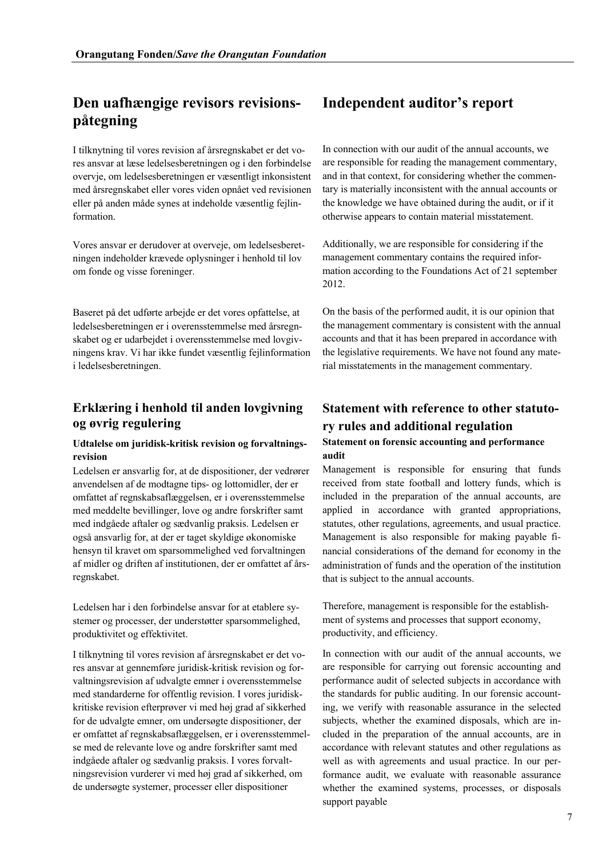I tilknytning til vores revision af årsregnskabet er det vores ansvar at læse ledelsesberetningen og i den forbindelse overvje, om ledelsesberetningen er væsentligt inkonsistent med årsregnskabet eller vores viden opnået ved revisionen eller på anden måde synes at indeholde væsentlig fejlinformation.

Vores ansvar er derudover at overveje, om ledelsesberetningen indeholder krævede oplysninger i henhold til lov om fonde og visse foreninger.

Baseret på det udførte arbejde er det vores opfattelse, at ledelsesberetningen er i overensstemmelse med årsregnskabet og er udarbejdet i overensstemmelse med lovgivningens krav. Vi har ikke fundet væsentlig fejlinformation i ledelsesberetningen.

## **Erklæring i henhold til anden lovgivning og øvrig regulering**

### **Udtalelse om juridisk-kritisk revision og forvaltningsrevision**

Ledelsen er ansvarlig for, at de dispositioner, der vedrører anvendelsen af de modtagne tips- og lottomidler, der er omfattet af regnskabsaflæggelsen, er i overensstemmelse med meddelte bevillinger, love og andre forskrifter samt med indgåede aftaler og sædvanlig praksis. Ledelsen er også ansvarlig for, at der er taget skyldige økonomiske hensyn til kravet om sparsommelighed ved forvaltningen af midler og driften af institutionen, der er omfattet af årsregnskabet.

Ledelsen har i den forbindelse ansvar for at etablere systemer og processer, der understøtter sparsommelighed, produktivitet og effektivitet.

I tilknytning til vores revision af årsregnskabet er det vores ansvar at gennemføre juridisk-kritisk revision og forvaltningsrevision af udvalgte emner i overensstemmelse med standarderne for offentlig revision. I vores juridiskkritiske revision efterprøver vi med høj grad af sikkerhed for de udvalgte emner, om undersøgte dispositioner, der er omfattet af regnskabsaflæggelsen, er i overensstemmelse med de relevante love og andre forskrifter samt med indgåede aftaler og sædvanlig praksis. I vores forvaltningsrevision vurderer vi med høj grad af sikkerhed, om de undersøgte systemer, processer eller dispositioner

## **Independent auditor's report**

In connection with our audit of the annual accounts, we are responsible for reading the management commentary, and in that context, for considering whether the commentary is materially inconsistent with the annual accounts or the knowledge we have obtained during the audit, or if it otherwise appears to contain material misstatement.

Additionally, we are responsible for considering if the management commentary contains the required information according to the Foundations Act of 21 september 2012.

On the basis of the performed audit, it is our opinion that the management commentary is consistent with the annual accounts and that it has been prepared in accordance with the legislative requirements. We have not found any material misstatements in the management commentary.

## **Statement with reference to other statutory rules and additional regulation**

### **Statement on forensic accounting and performance audit**

Management is responsible for ensuring that funds received from state football and lottery funds, which is included in the preparation of the annual accounts, are applied in accordance with granted appropriations, statutes, other regulations, agreements, and usual practice. Management is also responsible for making payable financial considerations of the demand for economy in the administration of funds and the operation of the institution that is subject to the annual accounts.

Therefore, management is responsible for the establishment of systems and processes that support economy, productivity, and efficiency.

In connection with our audit of the annual accounts, we are responsible for carrying out forensic accounting and performance audit of selected subjects in accordance with the standards for public auditing. In our forensic accounting, we verify with reasonable assurance in the selected subjects, whether the examined disposals, which are included in the preparation of the annual accounts, are in accordance with relevant statutes and other regulations as well as with agreements and usual practice. In our performance audit, we evaluate with reasonable assurance whether the examined systems, processes, or disposals support payable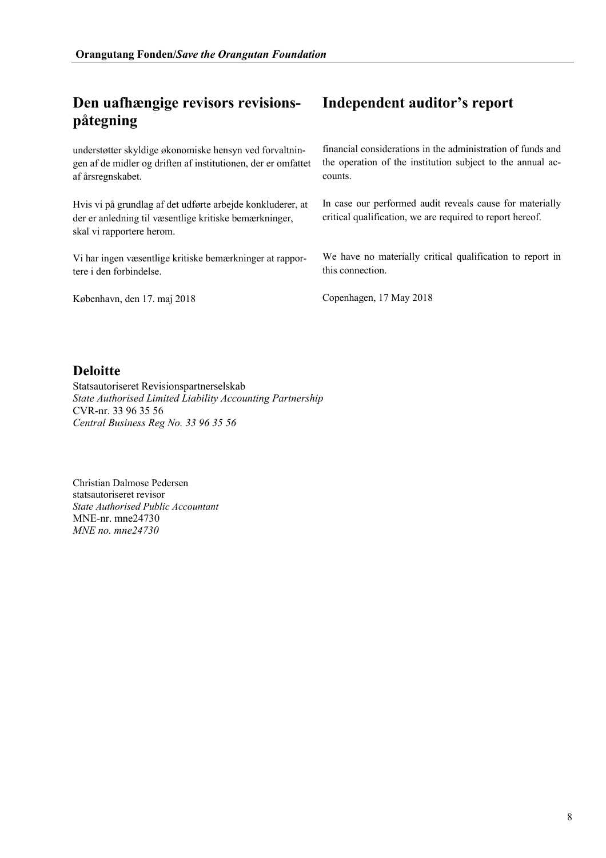understøtter skyldige økonomiske hensyn ved forvaltningen af de midler og driften af institutionen, der er omfattet af årsregnskabet.

Hvis vi på grundlag af det udførte arbejde konkluderer, at der er anledning til væsentlige kritiske bemærkninger, skal vi rapportere herom.

Vi har ingen væsentlige kritiske bemærkninger at rapportere i den forbindelse.

København, den 17. maj 2018 Copenhagen, 17 May 2018

## **Independent auditor's report**

financial considerations in the administration of funds and the operation of the institution subject to the annual accounts.

In case our performed audit reveals cause for materially critical qualification, we are required to report hereof.

We have no materially critical qualification to report in this connection.

## **Deloitte**

Statsautoriseret Revisionspartnerselskab *State Authorised Limited Liability Accounting Partnership*  CVR-nr. 33 96 35 56 *Central Business Reg No. 33 96 35 56*

Christian Dalmose Pedersen statsautoriseret revisor *State Authorised Public Accountant* MNE-nr. mne24730 *MNE no. mne24730*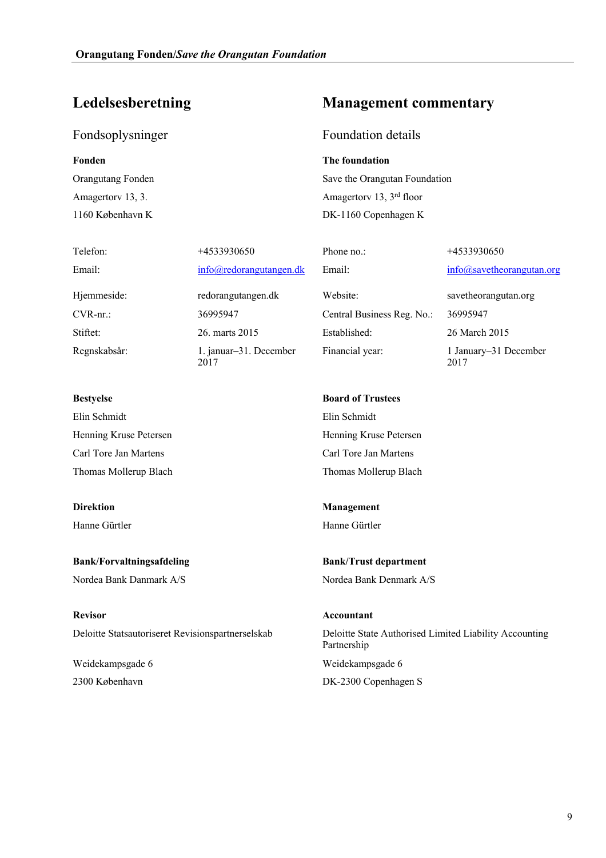2017

## Fondsoplysninger Foundation details

Amagertorv 13, 3. 1160 København K

Telefon: +4533930650 +4533930650 Phone no.: +4533930650

Email: info@redorangutangen.dk Email: info@savetheorangutan.org

Regnskabsår: 1. januar–31. December

Elin Schmidt Elin Schmidt Henning Kruse Petersen Henning Kruse Petersen Carl Tore Jan Martens Carl Tore Jan Martens Thomas Mollerup Blach Thomas Mollerup Blach

**Bank/Forvaltningsafdeling Bank/Trust department** Nordea Bank Danmark A/S Nordea Bank Denmark A/S

**Revisor Accountant**

Weidekampsgade 6 2300 København

## **Ledelsesberetning Management commentary**

**Fonden The foundation** Orangutang Fonden Save the Orangutan Foundation Amagertorv 13, 3rd floor DK-1160 Copenhagen K

Hjemmeside: redorangutangen.dk Website: savetheorangutan.org CVR-nr.: 36995947 Central Business Reg. No.: 36995947 Stiftet: 26. marts 2015 Established: 26 March 2015 Financial year: 1 January–31 December

**Bestyelse Board of Trustees**

**Direktion Management** Hanne Gürtler Hanne Gürtler

Deloitte Statsautoriseret Revisionspartnerselskab Deloitte State Authorised Limited Liability Accounting Partnership Weidekampsgade 6 DK-2300 Copenhagen S

2017

9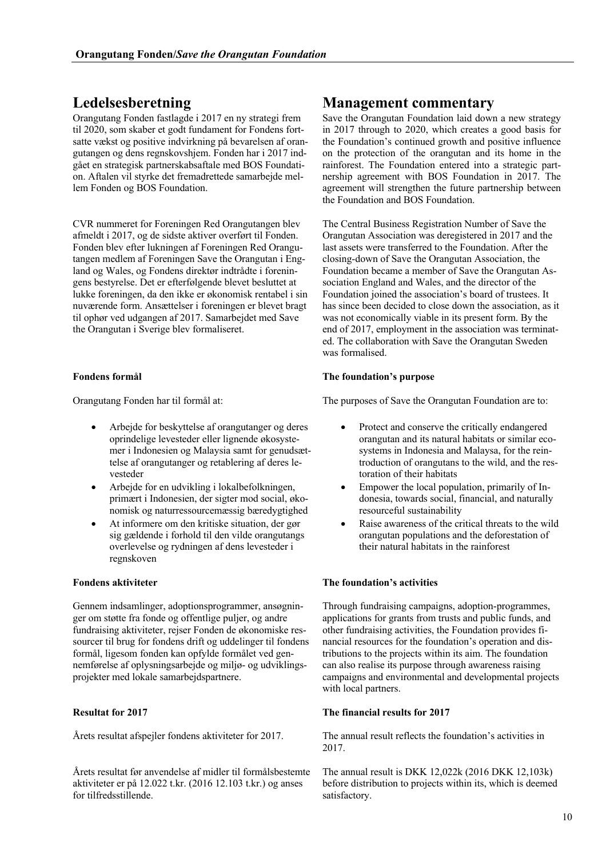Orangutang Fonden fastlagde i 2017 en ny strategi frem til 2020, som skaber et godt fundament for Fondens fortsatte vækst og positive indvirkning på bevarelsen af orangutangen og dens regnskovshjem. Fonden har i 2017 indgået en strategisk partnerskabsaftale med BOS Foundation. Aftalen vil styrke det fremadrettede samarbejde mellem Fonden og BOS Foundation.

CVR nummeret for Foreningen Red Orangutangen blev afmeldt i 2017, og de sidste aktiver overført til Fonden. Fonden blev efter lukningen af Foreningen Red Orangutangen medlem af Foreningen Save the Orangutan i England og Wales, og Fondens direktør indtrådte i foreningens bestyrelse. Det er efterfølgende blevet besluttet at lukke foreningen, da den ikke er økonomisk rentabel i sin nuværende form. Ansættelser i foreningen er blevet bragt til ophør ved udgangen af 2017. Samarbejdet med Save the Orangutan i Sverige blev formaliseret.

- Arbejde for beskyttelse af orangutanger og deres oprindelige levesteder eller lignende økosystemer i Indonesien og Malaysia samt for genudsættelse af orangutanger og retablering af deres levesteder
- Arbejde for en udvikling i lokalbefolkningen, primært i Indonesien, der sigter mod social, økonomisk og naturressourcemæssig bæredygtighed
- At informere om den kritiske situation, der gør sig gældende i forhold til den vilde orangutangs overlevelse og rydningen af dens levesteder i regnskoven

Gennem indsamlinger, adoptionsprogrammer, ansøgninger om støtte fra fonde og offentlige puljer, og andre fundraising aktiviteter, rejser Fonden de økonomiske ressourcer til brug for fondens drift og uddelinger til fondens formål, ligesom fonden kan opfylde formålet ved gennemførelse af oplysningsarbejde og miljø- og udviklingsprojekter med lokale samarbejdspartnere.

Årets resultat før anvendelse af midler til formålsbestemte aktiviteter er på 12.022 t.kr. (2016 12.103 t.kr.) og anses for tilfredsstillende.

## **Ledelsesberetning Management commentary**

Save the Orangutan Foundation laid down a new strategy in 2017 through to 2020, which creates a good basis for the Foundation's continued growth and positive influence on the protection of the orangutan and its home in the rainforest. The Foundation entered into a strategic partnership agreement with BOS Foundation in 2017. The agreement will strengthen the future partnership between the Foundation and BOS Foundation.

The Central Business Registration Number of Save the Orangutan Association was deregistered in 2017 and the last assets were transferred to the Foundation. After the closing-down of Save the Orangutan Association, the Foundation became a member of Save the Orangutan Association England and Wales, and the director of the Foundation joined the association's board of trustees. It has since been decided to close down the association, as it was not economically viable in its present form. By the end of 2017, employment in the association was terminated. The collaboration with Save the Orangutan Sweden was formalised.

### **Fondens formål The foundation's purpose**

Orangutang Fonden har til formål at: The purposes of Save the Orangutan Foundation are to:

- Protect and conserve the critically endangered orangutan and its natural habitats or similar ecosystems in Indonesia and Malaysa, for the reintroduction of orangutans to the wild, and the restoration of their habitats
- Empower the local population, primarily of Indonesia, towards social, financial, and naturally resourceful sustainability
- Raise awareness of the critical threats to the wild orangutan populations and the deforestation of their natural habitats in the rainforest

### **Fondens aktiviteter The foundation's activities**

Through fundraising campaigns, adoption-programmes, applications for grants from trusts and public funds, and other fundraising activities, the Foundation provides financial resources for the foundation's operation and distributions to the projects within its aim. The foundation can also realise its purpose through awareness raising campaigns and environmental and developmental projects with local partners.

### **Resultat for 2017 The financial results for 2017**

Årets resultat afspejler fondens aktiviteter for 2017. The annual result reflects the foundation's activities in 2017.

> The annual result is DKK 12,022k (2016 DKK 12,103k) before distribution to projects within its, which is deemed satisfactory.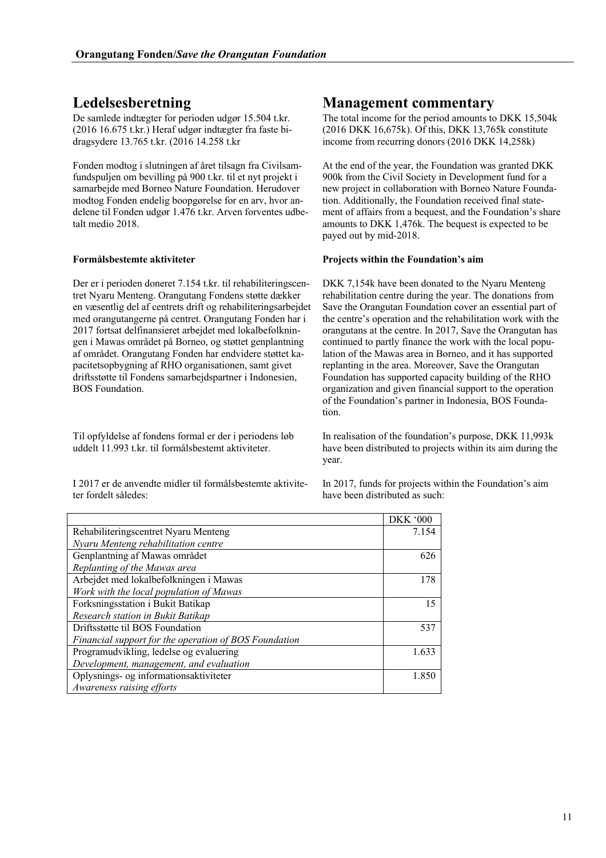De samlede indtægter for perioden udgør 15.504 t.kr. (2016 16.675 t.kr.) Heraf udgør indtægter fra faste bidragsydere 13.765 t.kr. (2016 14.258 t.kr

Fonden modtog i slutningen af året tilsagn fra Civilsamfundspuljen om bevilling på 900 t.kr. til et nyt projekt i samarbejde med Borneo Nature Foundation. Herudover modtog Fonden endelig boopgørelse for en arv, hvor andelene til Fonden udgør 1.476 t.kr. Arven forventes udbetalt medio 2018.

Der er i perioden doneret 7.154 t.kr. til rehabiliteringscentret Nyaru Menteng. Orangutang Fondens støtte dækker en væsentlig del af centrets drift og rehabiliteringsarbejdet med orangutangerne på centret. Orangutang Fonden har i 2017 fortsat delfinansieret arbejdet med lokalbefolkningen i Mawas området på Borneo, og støttet genplantning af området. Orangutang Fonden har endvidere støttet kapacitetsopbygning af RHO organisationen, samt givet driftsstøtte til Fondens samarbejdspartner i Indonesien, BOS Foundation.

Til opfyldelse af fondens formal er der i periodens løb uddelt 11.993 t.kr. til formålsbestemt aktiviteter.

I 2017 er de anvendte midler til formålsbestemte aktiviteter fordelt således:

## **Ledelsesberetning Management commentary**

The total income for the period amounts to DKK 15,504k (2016 DKK 16,675k). Of this, DKK 13,765k constitute income from recurring donors (2016 DKK 14,258k)

At the end of the year, the Foundation was granted DKK 900k from the Civil Society in Development fund for a new project in collaboration with Borneo Nature Foundation. Additionally, the Foundation received final statement of affairs from a bequest, and the Foundation's share amounts to DKK 1,476k. The bequest is expected to be payed out by mid-2018.

### **Formålsbestemte aktiviteter Projects within the Foundation's aim**

DKK 7,154k have been donated to the Nyaru Menteng rehabilitation centre during the year. The donations from Save the Orangutan Foundation cover an essential part of the centre's operation and the rehabilitation work with the orangutans at the centre. In 2017, Save the Orangutan has continued to partly finance the work with the local population of the Mawas area in Borneo, and it has supported replanting in the area. Moreover, Save the Orangutan Foundation has supported capacity building of the RHO organization and given financial support to the operation of the Foundation's partner in Indonesia, BOS Foundation.

In realisation of the foundation's purpose, DKK 11,993k have been distributed to projects within its aim during the year.

In 2017, funds for projects within the Foundation's aim have been distributed as such:

|                                                       | <b>DKK '000</b> |
|-------------------------------------------------------|-----------------|
| Rehabiliteringscentret Nyaru Menteng                  | 7.154           |
| Nyaru Menteng rehabilitation centre                   |                 |
| Genplantning af Mawas området                         | 626             |
| Replanting of the Mawas area                          |                 |
| Arbejdet med lokalbefolkningen i Mawas                | 178             |
| Work with the local population of Mawas               |                 |
| Forksningsstation i Bukit Batikap                     | 15              |
| Research station in Bukit Batikap                     |                 |
| Driftsstøtte til BOS Foundation                       | 537             |
| Financial support for the operation of BOS Foundation |                 |
| Programudvikling, ledelse og evaluering               | 1.633           |
| Development, management, and evaluation               |                 |
| Oplysnings- og informationsaktiviteter                | 1.850           |
| Awareness raising efforts                             |                 |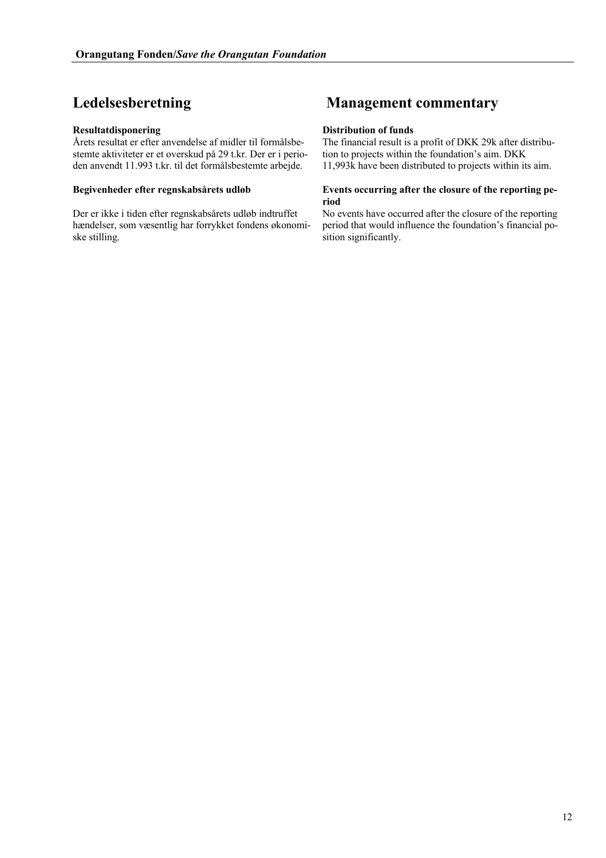Årets resultat er efter anvendelse af midler til formålsbestemte aktiviteter er et overskud på 29 t.kr. Der er i perioden anvendt 11.993 t.kr. til det formålsbestemte arbejde.

Der er ikke i tiden efter regnskabsårets udløb indtruffet hændelser, som væsentlig har forrykket fondens økonomiske stilling.

## **Ledelsesberetning Management commentary**

### **Resultatdisponering Distribution of funds**

The financial result is a profit of DKK 29k after distribution to projects within the foundation's aim. DKK 11,993k have been distributed to projects within its aim.

### **Begivenheder efter regnskabsårets udløb Events occurring after the closure of the reporting period**

No events have occurred after the closure of the reporting period that would influence the foundation's financial position significantly.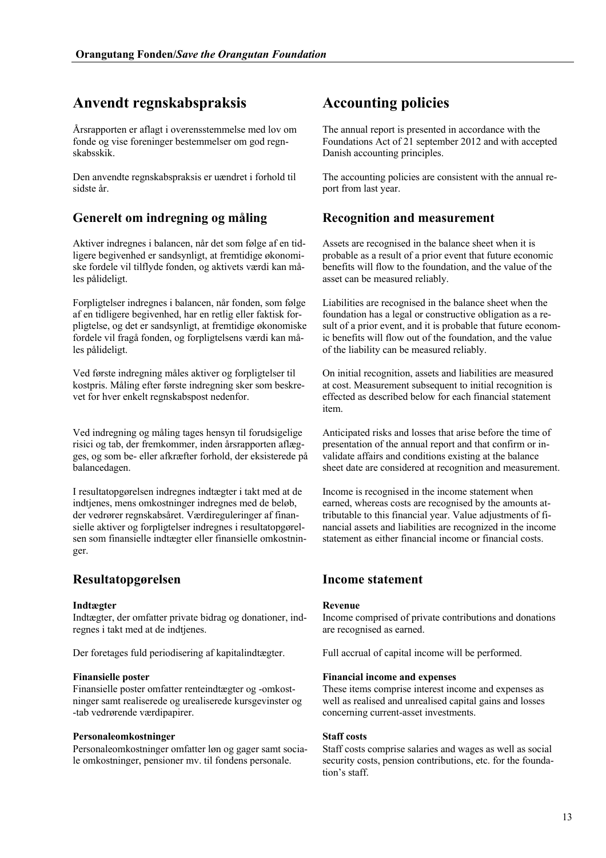## **Anvendt regnskabspraksis Accounting policies**

Årsrapporten er aflagt i overensstemmelse med lov om fonde og vise foreninger bestemmelser om god regnskabsskik.

Den anvendte regnskabspraksis er uændret i forhold til sidste år.

## **Generelt om indregning og måling Recognition and measurement**

Aktiver indregnes i balancen, når det som følge af en tidligere begivenhed er sandsynligt, at fremtidige økonomiske fordele vil tilflyde fonden, og aktivets værdi kan måles pålideligt.

Forpligtelser indregnes i balancen, når fonden, som følge af en tidligere begivenhed, har en retlig eller faktisk forpligtelse, og det er sandsynligt, at fremtidige økonomiske fordele vil fragå fonden, og forpligtelsens værdi kan måles pålideligt.

Ved første indregning måles aktiver og forpligtelser til kostpris. Måling efter første indregning sker som beskrevet for hver enkelt regnskabspost nedenfor.

Ved indregning og måling tages hensyn til forudsigelige risici og tab, der fremkommer, inden årsrapporten aflægges, og som be- eller afkræfter forhold, der eksisterede på balancedagen.

I resultatopgørelsen indregnes indtægter i takt med at de indtjenes, mens omkostninger indregnes med de beløb, der vedrører regnskabsåret. Værdireguleringer af finansielle aktiver og forpligtelser indregnes i resultatopgørelsen som finansielle indtægter eller finansielle omkostninger.

## **Resultatopgørelsen Income statement**

### **Indtægter Revenue**

Indtægter, der omfatter private bidrag og donationer, indregnes i takt med at de indtjenes.

Der foretages fuld periodisering af kapitalindtægter. Full accrual of capital income will be performed.

Finansielle poster omfatter renteindtægter og -omkostninger samt realiserede og urealiserede kursgevinster og -tab vedrørende værdipapirer.

### **Personaleomkostninger Staff costs**

Personaleomkostninger omfatter løn og gager samt sociale omkostninger, pensioner mv. til fondens personale.

The annual report is presented in accordance with the Foundations Act of 21 september 2012 and with accepted Danish accounting principles.

The accounting policies are consistent with the annual report from last year.

Assets are recognised in the balance sheet when it is probable as a result of a prior event that future economic benefits will flow to the foundation, and the value of the asset can be measured reliably.

Liabilities are recognised in the balance sheet when the foundation has a legal or constructive obligation as a result of a prior event, and it is probable that future economic benefits will flow out of the foundation, and the value of the liability can be measured reliably.

On initial recognition, assets and liabilities are measured at cost. Measurement subsequent to initial recognition is effected as described below for each financial statement item.

Anticipated risks and losses that arise before the time of presentation of the annual report and that confirm or invalidate affairs and conditions existing at the balance sheet date are considered at recognition and measurement.

Income is recognised in the income statement when earned, whereas costs are recognised by the amounts attributable to this financial year. Value adjustments of financial assets and liabilities are recognized in the income statement as either financial income or financial costs.

Income comprised of private contributions and donations are recognised as earned.

### **Finansielle poster Financial income and expenses**

These items comprise interest income and expenses as well as realised and unrealised capital gains and losses concerning current-asset investments.

Staff costs comprise salaries and wages as well as social security costs, pension contributions, etc. for the foundation's staff.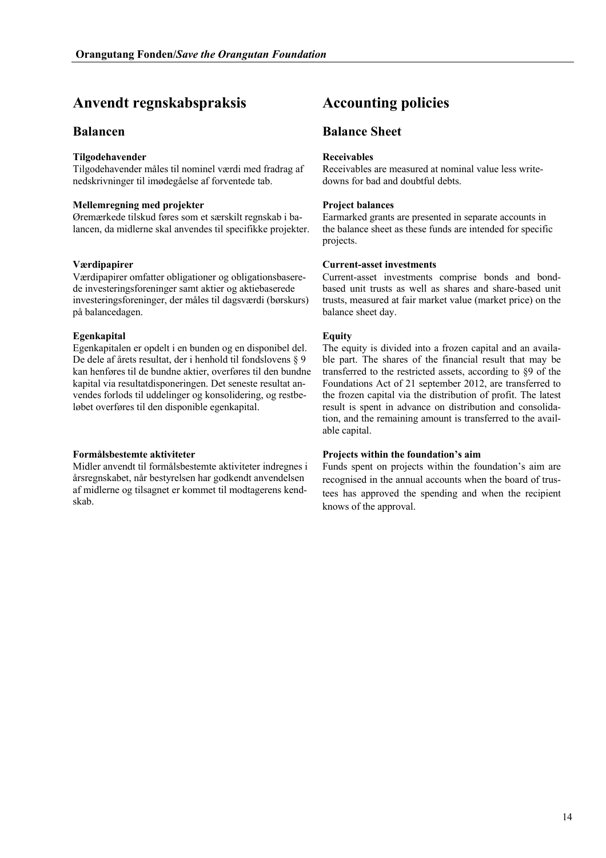## **Anvendt regnskabspraksis Accounting policies**

### **Tilgodehavender Receivables**

Tilgodehavender måles til nominel værdi med fradrag af nedskrivninger til imødegåelse af forventede tab.

### **Mellemregning med projekter Project balances**

Øremærkede tilskud føres som et særskilt regnskab i balancen, da midlerne skal anvendes til specifikke projekter.

Værdipapirer omfatter obligationer og obligationsbaserede investeringsforeninger samt aktier og aktiebaserede investeringsforeninger, der måles til dagsværdi (børskurs) på balancedagen.

### **Egenkapital Equity**

Egenkapitalen er opdelt i en bunden og en disponibel del. De dele af årets resultat, der i henhold til fondslovens § 9 kan henføres til de bundne aktier, overføres til den bundne kapital via resultatdisponeringen. Det seneste resultat anvendes forlods til uddelinger og konsolidering, og restbeløbet overføres til den disponible egenkapital.

Midler anvendt til formålsbestemte aktiviteter indregnes i årsregnskabet, når bestyrelsen har godkendt anvendelsen af midlerne og tilsagnet er kommet til modtagerens kendskab.

## **Balancen Balance Sheet**

Receivables are measured at nominal value less writedowns for bad and doubtful debts.

Earmarked grants are presented in separate accounts in the balance sheet as these funds are intended for specific projects.

### **Værdipapirer Current-asset investments**

Current-asset investments comprise bonds and bondbased unit trusts as well as shares and share-based unit trusts, measured at fair market value (market price) on the balance sheet day.

The equity is divided into a frozen capital and an available part. The shares of the financial result that may be transferred to the restricted assets, according to §9 of the Foundations Act of 21 september 2012, are transferred to the frozen capital via the distribution of profit. The latest result is spent in advance on distribution and consolidation, and the remaining amount is transferred to the available capital.

### **Formålsbestemte aktiviteter Projects within the foundation's aim**

Funds spent on projects within the foundation's aim are recognised in the annual accounts when the board of trustees has approved the spending and when the recipient knows of the approval.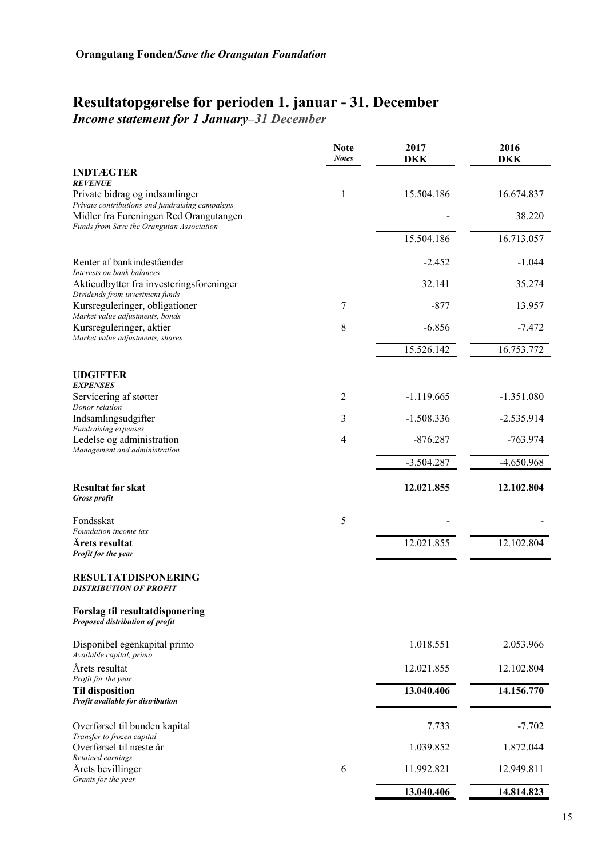## **Resultatopgørelse for perioden 1. januar - 31. December**

*Income statement for 1 January–31 December*

|                                                                                                      | <b>Note</b><br><b>Notes</b> | 2017<br>DKK  | 2016<br>DKK  |
|------------------------------------------------------------------------------------------------------|-----------------------------|--------------|--------------|
| <b>INDTÆGTER</b>                                                                                     |                             |              |              |
| <b>REVENUE</b><br>Private bidrag og indsamlinger<br>Private contributions and fundraising campaigns  | 1                           | 15.504.186   | 16.674.837   |
| Midler fra Foreningen Red Orangutangen<br>Funds from Save the Orangutan Association                  |                             |              | 38.220       |
|                                                                                                      |                             | 15.504.186   | 16.713.057   |
| Renter af bankindeståender<br>Interests on bank balances                                             |                             | $-2.452$     | $-1.044$     |
| Aktieudbytter fra investeringsforeninger                                                             |                             | 32.141       | 35.274       |
| Dividends from investment funds<br>Kursreguleringer, obligationer<br>Market value adjustments, bonds | 7                           | $-877$       | 13.957       |
| Kursreguleringer, aktier<br>Market value adjustments, shares                                         | 8                           | $-6.856$     | $-7.472$     |
|                                                                                                      |                             | 15.526.142   | 16.753.772   |
| <b>UDGIFTER</b><br><b>EXPENSES</b>                                                                   |                             |              |              |
| Servicering af støtter<br>Donor relation                                                             | 2                           | $-1.119.665$ | $-1.351.080$ |
| Indsamlingsudgifter                                                                                  | 3                           | $-1.508.336$ | $-2.535.914$ |
| Fundraising expenses<br>Ledelse og administration<br>Management and administration                   | 4                           | $-876.287$   | $-763.974$   |
|                                                                                                      |                             | $-3.504.287$ | $-4.650.968$ |
| <b>Resultat før skat</b><br><b>Gross profit</b>                                                      |                             | 12.021.855   | 12.102.804   |
| Fondsskat                                                                                            | 5                           |              |              |
| Foundation income tax<br>Årets resultat                                                              |                             | 12.021.855   | 12.102.804   |
| Profit for the year                                                                                  |                             |              |              |
| <b>RESULTATDISPONERING</b><br><b>DISTRIBUTION OF PROFIT</b>                                          |                             |              |              |
| <b>Forslag til resultatdisponering</b><br>Proposed distribution of profit                            |                             |              |              |
| Disponibel egenkapital primo<br>Available capital, primo                                             |                             | 1.018.551    | 2.053.966    |
| Årets resultat<br>Profit for the year                                                                |                             | 12.021.855   | 12.102.804   |
| <b>Til disposition</b><br>Profit available for distribution                                          |                             | 13.040.406   | 14.156.770   |
| Overførsel til bunden kapital                                                                        |                             | 7.733        | $-7.702$     |
| Transfer to frozen capital<br>Overførsel til næste år                                                |                             | 1.039.852    | 1.872.044    |
| Retained earnings<br>Årets bevillinger                                                               | 6                           | 11.992.821   | 12.949.811   |
| Grants for the year                                                                                  |                             | 13.040.406   | 14.814.823   |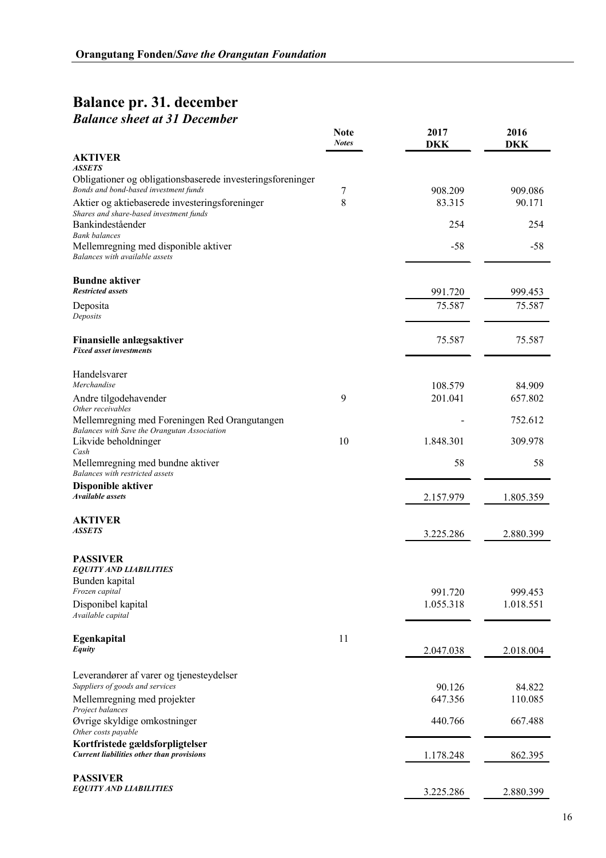## **Balance pr. 31. december** *Balance sheet at 31 December*

|                                                                                               | <b>Note</b><br><b>Notes</b> | 2017<br><b>DKK</b> | 2016<br><b>DKK</b> |
|-----------------------------------------------------------------------------------------------|-----------------------------|--------------------|--------------------|
| <b>AKTIVER</b>                                                                                |                             |                    |                    |
| ASSETS<br>Obligationer og obligationsbaserede investeringsforeninger                          |                             |                    |                    |
| Bonds and bond-based investment funds                                                         | 7                           | 908.209            | 909.086            |
| Aktier og aktiebaserede investeringsforeninger                                                | 8                           | 83.315             | 90.171             |
| Shares and share-based investment funds<br>Bankindeståender                                   |                             | 254                | 254                |
| <b>Bank balances</b><br>Mellemregning med disponible aktiver                                  |                             | $-58$              | -58                |
| Balances with available assets                                                                |                             |                    |                    |
| <b>Bundne aktiver</b>                                                                         |                             |                    |                    |
| <b>Restricted assets</b>                                                                      |                             | 991.720            | 999.453            |
| Deposita<br>Deposits                                                                          |                             | 75.587             | 75.587             |
| Finansielle anlægsaktiver                                                                     |                             | 75.587             | 75.587             |
| <b>Fixed asset investments</b>                                                                |                             |                    |                    |
| Handelsvarer<br>Merchandise                                                                   |                             |                    |                    |
| Andre tilgodehavender                                                                         | 9                           | 108.579<br>201.041 | 84.909<br>657.802  |
| Other receivables                                                                             |                             |                    |                    |
| Mellemregning med Foreningen Red Orangutangen<br>Balances with Save the Orangutan Association |                             |                    | 752.612            |
| Likvide beholdninger                                                                          | 10                          | 1.848.301          | 309.978            |
| Cash<br>Mellemregning med bundne aktiver                                                      |                             | 58                 | 58                 |
| Balances with restricted assets                                                               |                             |                    |                    |
| <b>Disponible aktiver</b><br>Available assets                                                 |                             | 2.157.979          | 1.805.359          |
|                                                                                               |                             |                    |                    |
| <b>AKTIVER</b>                                                                                |                             |                    |                    |
| <b>ASSETS</b>                                                                                 |                             | 3.225.286          | 2.880.399          |
| <b>PASSIVER</b>                                                                               |                             |                    |                    |
| <b>EQUITY AND LIABILITIES</b>                                                                 |                             |                    |                    |
| Bunden kapital<br>Frozen capital                                                              |                             | 991.720            | 999.453            |
| Disponibel kapital                                                                            |                             | 1.055.318          | 1.018.551          |
| Available capital                                                                             |                             |                    |                    |
| Egenkapital                                                                                   | 11                          |                    |                    |
| Equity                                                                                        |                             | 2.047.038          | 2.018.004          |
| Leverandører af varer og tjenesteydelser                                                      |                             |                    |                    |
| Suppliers of goods and services                                                               |                             | 90.126             | 84.822             |
| Mellemregning med projekter<br>Project balances                                               |                             | 647.356            | 110.085            |
| Øvrige skyldige omkostninger<br>Other costs payable                                           |                             | 440.766            | 667.488            |
| Kortfristede gældsforpligtelser                                                               |                             |                    |                    |
| <b>Current liabilities other than provisions</b>                                              |                             | 1.178.248          | 862.395            |
| <b>PASSIVER</b>                                                                               |                             |                    |                    |
| <b>EQUITY AND LIABILITIES</b>                                                                 |                             | 3.225.286          | 2.880.399          |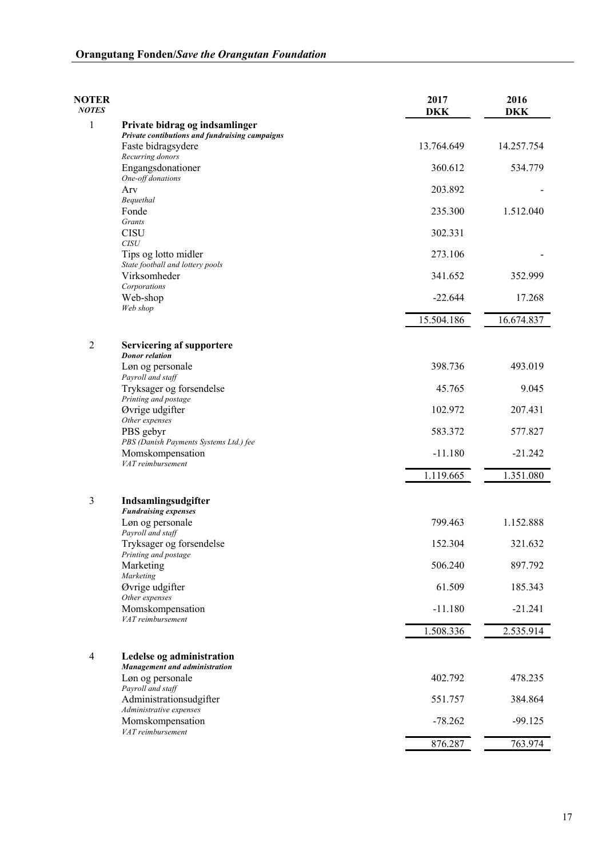| <b>NOTER</b><br><b>NOTES</b> |                                                                                  | 2017<br><b>DKK</b> | 2016<br><b>DKK</b> |
|------------------------------|----------------------------------------------------------------------------------|--------------------|--------------------|
| 1                            | Private bidrag og indsamlinger<br>Private contibutions and fundraising campaigns |                    |                    |
|                              | Faste bidragsydere                                                               | 13.764.649         | 14.257.754         |
|                              | Recurring donors<br>Engangsdonationer                                            | 360.612            | 534.779            |
|                              | One-off donations<br>Arv                                                         | 203.892            |                    |
|                              | Bequethal                                                                        |                    |                    |
|                              | Fonde<br>Grants                                                                  | 235.300            | 1.512.040          |
|                              | <b>CISU</b><br><b>CISU</b>                                                       | 302.331            |                    |
|                              | Tips og lotto midler<br>State football and lottery pools                         | 273.106            |                    |
|                              | Virksomheder                                                                     | 341.652            | 352.999            |
|                              | Corporations<br>Web-shop                                                         | $-22.644$          | 17.268             |
|                              | Web shop                                                                         | 15.504.186         | 16.674.837         |
|                              |                                                                                  |                    |                    |
| 2                            | <b>Servicering af supportere</b><br><b>Donor</b> relation                        |                    |                    |
|                              | Løn og personale                                                                 | 398.736            | 493.019            |
|                              | Payroll and staff<br>Tryksager og forsendelse                                    | 45.765             | 9.045              |
|                              | Printing and postage<br>Øvrige udgifter                                          | 102.972            | 207.431            |
|                              | Other expenses                                                                   | 583.372            | 577.827            |
|                              | PBS gebyr<br>PBS (Danish Payments Systems Ltd.) fee                              |                    |                    |
|                              | Momskompensation<br>VAT reimbursement                                            | $-11.180$          | $-21.242$          |
|                              |                                                                                  | 1.119.665          | 1.351.080          |
| 3                            | Indsamlingsudgifter<br><b>Fundraising expenses</b>                               |                    |                    |
|                              | Løn og personale<br>Payroll and staff                                            | 799.463            | 1.152.888          |
|                              | Tryksager og forsendelse                                                         | 152.304            | 321.632            |
|                              | Printing and postage<br>Marketing                                                | 506.240            | 897.792            |
|                              | Marketing<br>Øvrige udgifter                                                     | 61.509             | 185.343            |
|                              | Other expenses<br>Momskompensation                                               | $-11.180$          | $-21.241$          |
|                              | VAT reimbursement                                                                |                    |                    |
|                              |                                                                                  | 1.508.336          | 2.535.914          |
| 4                            | Ledelse og administration<br>Management and administration                       |                    |                    |
|                              | Løn og personale<br>Payroll and staff                                            | 402.792            | 478.235            |
|                              | Administrationsudgifter                                                          | 551.757            | 384.864            |
|                              | Administrative expenses<br>Momskompensation<br>VAT reimbursement                 | $-78.262$          | $-99.125$          |
|                              |                                                                                  | 876.287            | 763.974            |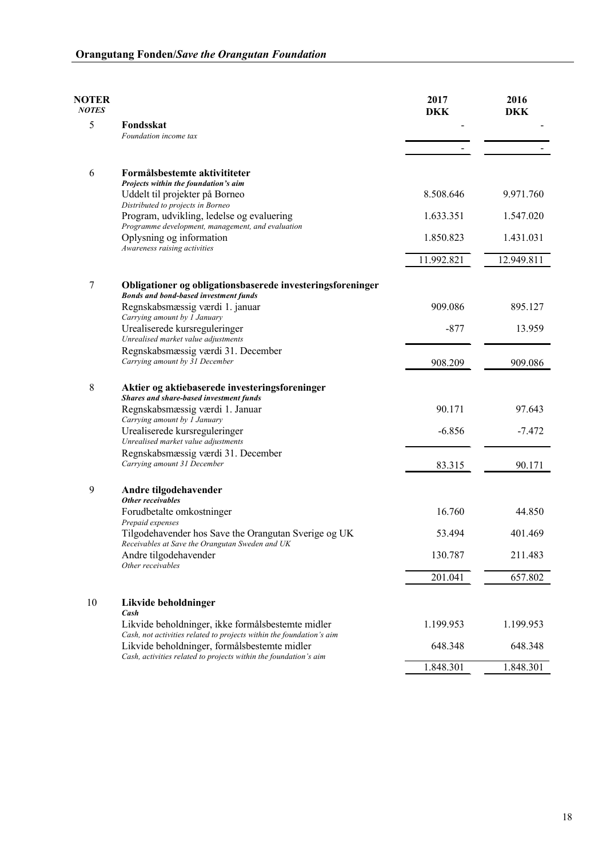| <b>NOTER</b><br><b>NOTES</b> |                                                                                                                                                                                          | 2017<br>DKK | 2016<br><b>DKK</b> |
|------------------------------|------------------------------------------------------------------------------------------------------------------------------------------------------------------------------------------|-------------|--------------------|
| 5                            | Fondsskat<br>Foundation income tax                                                                                                                                                       |             |                    |
|                              |                                                                                                                                                                                          |             |                    |
| 6                            | Formålsbestemte aktivititeter                                                                                                                                                            |             |                    |
|                              | Projects within the foundation's aim<br>Uddelt til projekter på Borneo                                                                                                                   | 8.508.646   | 9.971.760          |
|                              | Distributed to projects in Borneo<br>Program, udvikling, ledelse og evaluering                                                                                                           | 1.633.351   | 1.547.020          |
|                              | Programme development, management, and evaluation<br>Oplysning og information                                                                                                            | 1.850.823   | 1.431.031          |
|                              | Awareness raising activities                                                                                                                                                             | 11.992.821  | 12.949.811         |
| 7                            | Obligationer og obligationsbaserede investeringsforeninger                                                                                                                               |             |                    |
|                              | <b>Bonds and bond-based investment funds</b>                                                                                                                                             |             |                    |
|                              | Regnskabsmæssig værdi 1. januar<br>Carrying amount by 1 January                                                                                                                          | 909.086     | 895.127            |
|                              | Urealiserede kursreguleringer<br>Unrealised market value adjustments                                                                                                                     | $-877$      | 13.959             |
|                              | Regnskabsmæssig værdi 31. December                                                                                                                                                       |             |                    |
|                              | Carrying amount by 31 December                                                                                                                                                           | 908.209     | 909.086            |
| 8                            | Aktier og aktiebaserede investeringsforeninger<br>Shares and share-based investment funds                                                                                                |             |                    |
|                              | Regnskabsmæssig værdi 1. Januar                                                                                                                                                          | 90.171      | 97.643             |
|                              | Carrying amount by 1 January<br>Urealiserede kursreguleringer                                                                                                                            | $-6.856$    | $-7.472$           |
|                              | Unrealised market value adjustments                                                                                                                                                      |             |                    |
|                              | Regnskabsmæssig værdi 31. December<br>Carrying amount 31 December                                                                                                                        | 83.315      | 90.171             |
| 9                            | Andre tilgodehavender                                                                                                                                                                    |             |                    |
|                              | Other receivables<br>Forudbetalte omkostninger                                                                                                                                           | 16.760      | 44.850             |
|                              | Prepaid expenses<br>Tilgodehavender hos Save the Orangutan Sverige og UK                                                                                                                 | 53.494      | 401.469            |
|                              | Receivables at Save the Orangutan Sweden and UK<br>Andre tilgodehavender                                                                                                                 | 130.787     | 211.483            |
|                              | Other receivables                                                                                                                                                                        |             |                    |
|                              |                                                                                                                                                                                          | 201.041     | 657.802            |
| 10                           | Likvide beholdninger<br>Cash                                                                                                                                                             |             |                    |
|                              | Likvide beholdninger, ikke formålsbestemte midler                                                                                                                                        | 1.199.953   | 1.199.953          |
|                              | Cash, not activities related to projects within the foundation's aim<br>Likvide beholdninger, formålsbestemte midler<br>Cash, activities related to projects within the foundation's aim | 648.348     | 648.348            |
|                              |                                                                                                                                                                                          | 1.848.301   | 1.848.301          |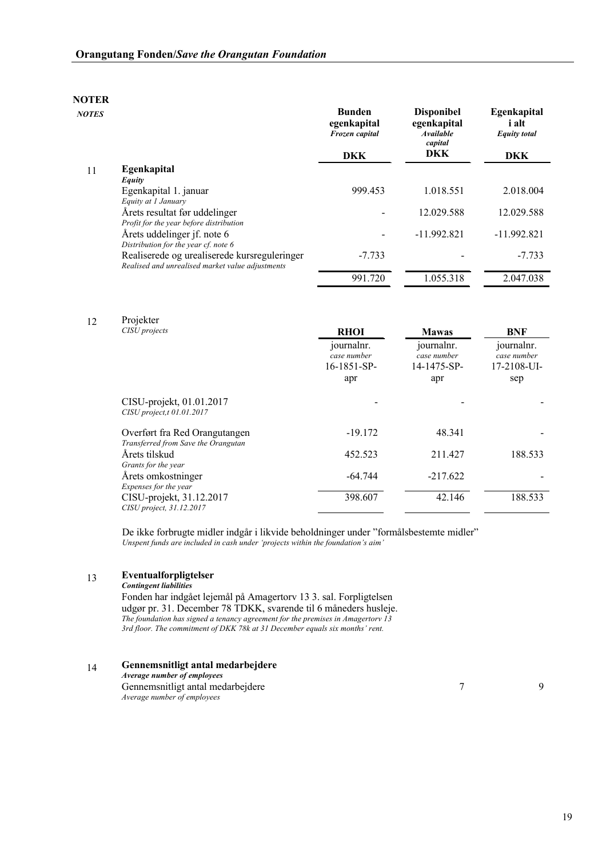| <b>NOTES</b> |                                                                                                  | <b>Bunden</b><br>egenkapital<br>Frozen capital<br><b>DKK</b> | <b>Disponibel</b><br>egenkapital<br><b>Available</b><br>capital<br>DKK | Egenkapital<br><i>i</i> alt<br><b>Equity</b> total<br><b>DKK</b> |
|--------------|--------------------------------------------------------------------------------------------------|--------------------------------------------------------------|------------------------------------------------------------------------|------------------------------------------------------------------|
| 11           | <b>Egenkapital</b>                                                                               |                                                              |                                                                        |                                                                  |
|              | Equity                                                                                           |                                                              |                                                                        |                                                                  |
|              | Egenkapital 1. januar                                                                            | 999.453                                                      | 1.018.551                                                              | 2.018.004                                                        |
|              | Equity at 1 January                                                                              |                                                              |                                                                        |                                                                  |
|              | Årets resultat før uddelinger                                                                    |                                                              | 12.029.588                                                             | 12.029.588                                                       |
|              | Profit for the year before distribution                                                          |                                                              |                                                                        |                                                                  |
|              | Årets uddelinger jf. note 6                                                                      | -                                                            | $-11.992.821$                                                          | $-11.992.821$                                                    |
|              | Distribution for the year cf. note 6                                                             |                                                              |                                                                        |                                                                  |
|              | Realiserede og urealiserede kursreguleringer<br>Realised and unrealised market value adjustments | $-7.733$                                                     |                                                                        | $-7.733$                                                         |
|              |                                                                                                  | 991.720                                                      | 1.055.318                                                              | 2.047.038                                                        |

12 Projekter

| CISU projects                                                        | <b>RHOI</b>                                     | <b>Mawas</b>                             | <b>BNF</b>                               |
|----------------------------------------------------------------------|-------------------------------------------------|------------------------------------------|------------------------------------------|
|                                                                      | journalnr.<br>case number<br>$16 - 1851 - SP -$ | journalnr.<br>case number<br>14-1475-SP- | journalnr.<br>case number<br>17-2108-UI- |
|                                                                      | apr                                             | apr                                      | sep                                      |
| CISU-projekt, 01.01.2017<br>$CISU$ project, t $01.01.2017$           |                                                 |                                          |                                          |
| Overført fra Red Orangutangen<br>Transferred from Save the Orangutan | $-19.172$                                       | 48.341                                   |                                          |
| Årets tilskud<br>Grants for the year                                 | 452.523                                         | 211.427                                  | 188.533                                  |
| Årets omkostninger<br>Expenses for the year                          | $-64.744$                                       | $-217.622$                               |                                          |
| CISU-projekt, 31.12.2017<br>CISU project, 31.12.2017                 | 398.607                                         | 42.146                                   | 188.533                                  |

 De ikke forbrugte midler indgår i likvide beholdninger under "formålsbestemte midler"  *Unspent funds are included in cash under 'projects within the foundation's aim'*

### 13 **Eventualforpligtelser**

*Contingent liabilities*

Fonden har indgået lejemål på Amagertorv 13 3. sal. Forpligtelsen udgør pr. 31. December 78 TDKK, svarende til 6 måneders husleje. *The foundation has signed a tenancy agreement for the premises in Amagertorv 13 3rd floor. The commitment of DKK 78k at 31 December equals six months' rent.*

### 14 **Gennemsnitligt antal medarbejdere**

*Average number of employees*

Gennemsnitligt antal medarbejdere *Average number of employees*

7 9